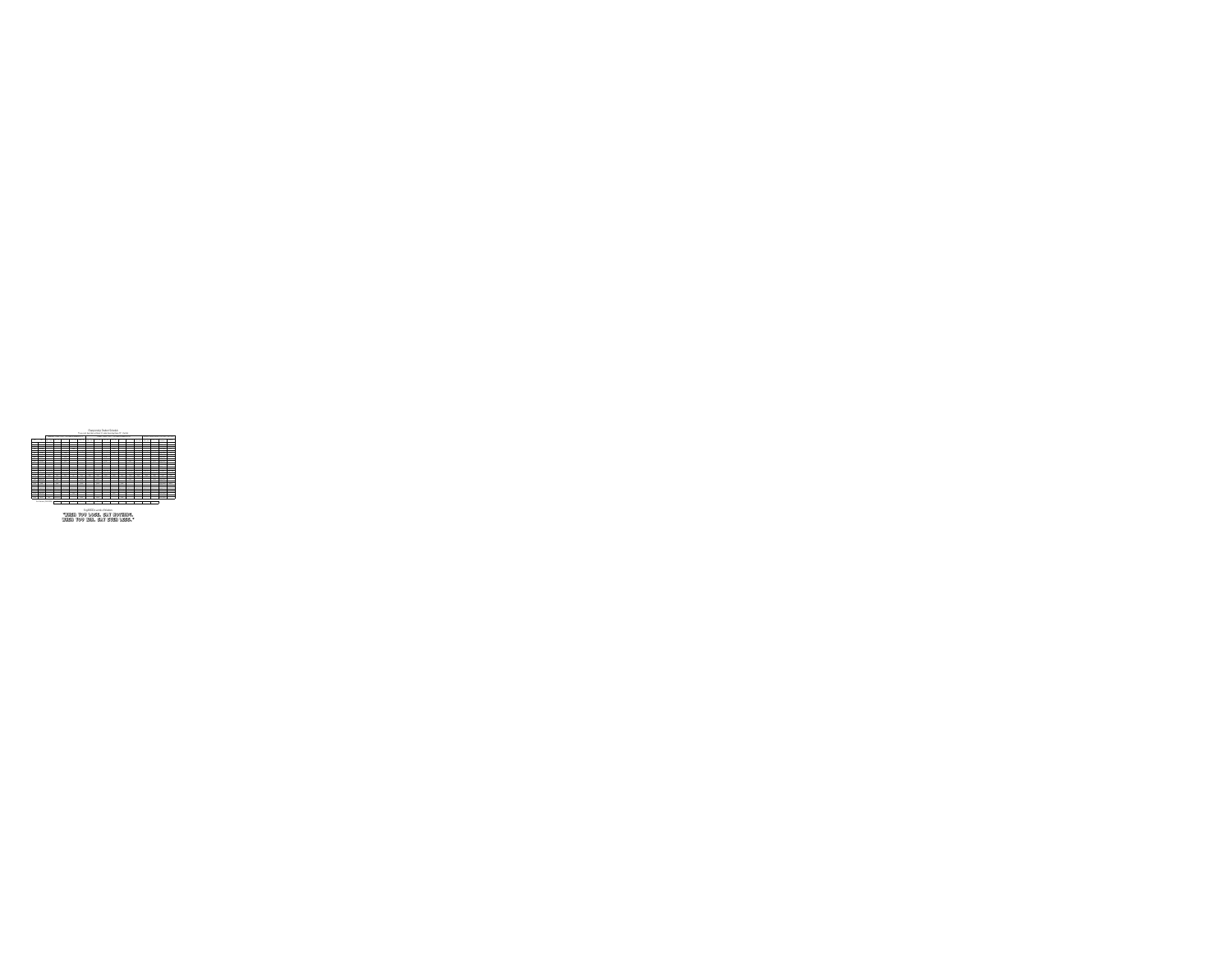

EngiNERDs words of Wisdom: "When you lose, say nothing. When you win, say even less."